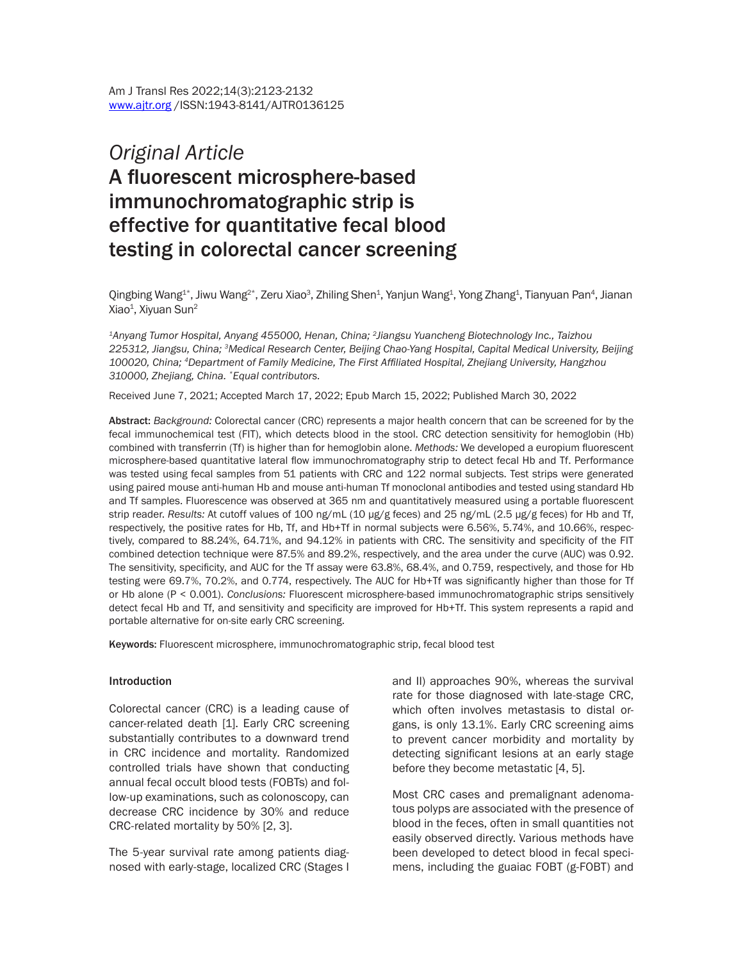# *Original Article* A fluorescent microsphere-based immunochromatographic strip is effective for quantitative fecal blood testing in colorectal cancer screening

Qingbing Wang<sup>1\*</sup>, Jiwu Wang<sup>2\*</sup>, Zeru Xiao<sup>3</sup>, Zhiling Shen<sup>1</sup>, Yanjun Wang<sup>1</sup>, Yong Zhang<sup>1</sup>, Tianyuan Pan<sup>4</sup>, Jianan Xiao<sup>1</sup>, Xiyuan Sun<sup>2</sup>

*1Anyang Tumor Hospital, Anyang 455000, Henan, China; 2Jiangsu Yuancheng Biotechnology Inc., Taizhou 225312, Jiangsu, China; 3Medical Research Center, Beijing Chao-Yang Hospital, Capital Medical University, Beijing 100020, China; 4Department of Family Medicine, The First Affiliated Hospital, Zhejiang University, Hangzhou 310000, Zhejiang, China. \*Equal contributors.*

Received June 7, 2021; Accepted March 17, 2022; Epub March 15, 2022; Published March 30, 2022

Abstract: *Background:* Colorectal cancer (CRC) represents a major health concern that can be screened for by the fecal immunochemical test (FIT), which detects blood in the stool. CRC detection sensitivity for hemoglobin (Hb) combined with transferrin (Tf) is higher than for hemoglobin alone. *Methods:* We developed a europium fluorescent microsphere-based quantitative lateral flow immunochromatography strip to detect fecal Hb and Tf. Performance was tested using fecal samples from 51 patients with CRC and 122 normal subjects. Test strips were generated using paired mouse anti-human Hb and mouse anti-human Tf monoclonal antibodies and tested using standard Hb and Tf samples. Fluorescence was observed at 365 nm and quantitatively measured using a portable fluorescent strip reader. *Results:* At cutoff values of 100 ng/mL (10 µg/g feces) and 25 ng/mL (2.5 µg/g feces) for Hb and Tf, respectively, the positive rates for Hb, Tf, and Hb+Tf in normal subjects were 6.56%, 5.74%, and 10.66%, respectively, compared to 88.24%, 64.71%, and 94.12% in patients with CRC. The sensitivity and specificity of the FIT combined detection technique were 87.5% and 89.2%, respectively, and the area under the curve (AUC) was 0.92. The sensitivity, specificity, and AUC for the Tf assay were 63.8%, 68.4%, and 0.759, respectively, and those for Hb testing were 69.7%, 70.2%, and 0.774, respectively. The AUC for Hb+Tf was significantly higher than those for Tf or Hb alone (P < 0.001). *Conclusions:* Fluorescent microsphere-based immunochromatographic strips sensitively detect fecal Hb and Tf, and sensitivity and specificity are improved for Hb+Tf. This system represents a rapid and portable alternative for on-site early CRC screening.

Keywords: Fluorescent microsphere, immunochromatographic strip, fecal blood test

#### Introduction

Colorectal cancer (CRC) is a leading cause of cancer-related death [1]. Early CRC screening substantially contributes to a downward trend in CRC incidence and mortality. Randomized controlled trials have shown that conducting annual fecal occult blood tests (FOBTs) and follow-up examinations, such as colonoscopy, can decrease CRC incidence by 30% and reduce CRC-related mortality by 50% [2, 3].

The 5-year survival rate among patients diagnosed with early-stage, localized CRC (Stages I and II) approaches 90%, whereas the survival rate for those diagnosed with late-stage CRC, which often involves metastasis to distal organs, is only 13.1%. Early CRC screening aims to prevent cancer morbidity and mortality by detecting significant lesions at an early stage before they become metastatic [4, 5].

Most CRC cases and premalignant adenomatous polyps are associated with the presence of blood in the feces, often in small quantities not easily observed directly. Various methods have been developed to detect blood in fecal specimens, including the guaiac FOBT (g-FOBT) and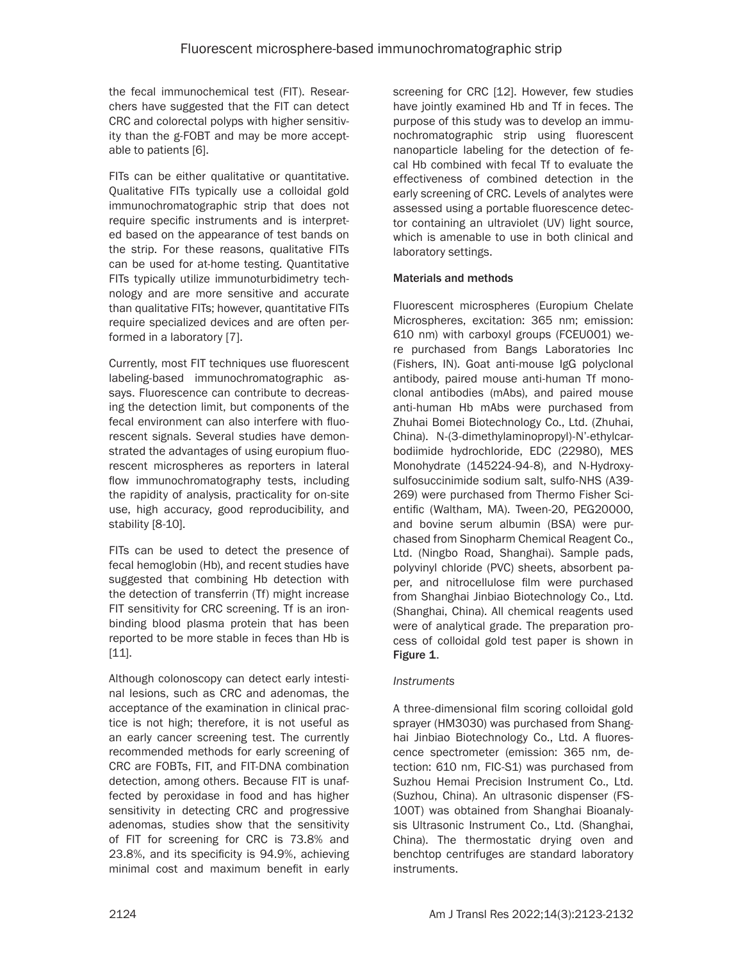the fecal immunochemical test (FIT). Researchers have suggested that the FIT can detect CRC and colorectal polyps with higher sensitivity than the g-FOBT and may be more acceptable to patients [6].

FITs can be either qualitative or quantitative. Qualitative FITs typically use a colloidal gold immunochromatographic strip that does not require specific instruments and is interpreted based on the appearance of test bands on the strip. For these reasons, qualitative FITs can be used for at-home testing. Quantitative FITs typically utilize immunoturbidimetry technology and are more sensitive and accurate than qualitative FITs; however, quantitative FITs require specialized devices and are often performed in a laboratory [7].

Currently, most FIT techniques use fluorescent labeling-based immunochromatographic assays. Fluorescence can contribute to decreasing the detection limit, but components of the fecal environment can also interfere with fluorescent signals. Several studies have demonstrated the advantages of using europium fluorescent microspheres as reporters in lateral flow immunochromatography tests, including the rapidity of analysis, practicality for on-site use, high accuracy, good reproducibility, and stability [8-10].

FITs can be used to detect the presence of fecal hemoglobin (Hb), and recent studies have suggested that combining Hb detection with the detection of transferrin (Tf) might increase FIT sensitivity for CRC screening. Tf is an ironbinding blood plasma protein that has been reported to be more stable in feces than Hb is [11].

Although colonoscopy can detect early intestinal lesions, such as CRC and adenomas, the acceptance of the examination in clinical practice is not high; therefore, it is not useful as an early cancer screening test. The currently recommended methods for early screening of CRC are FOBTs, FIT, and FIT-DNA combination detection, among others. Because FIT is unaffected by peroxidase in food and has higher sensitivity in detecting CRC and progressive adenomas, studies show that the sensitivity of FIT for screening for CRC is 73.8% and 23.8%, and its specificity is 94.9%, achieving minimal cost and maximum benefit in early

screening for CRC [12]. However, few studies have jointly examined Hb and Tf in feces. The purpose of this study was to develop an immunochromatographic strip using fluorescent nanoparticle labeling for the detection of fecal Hb combined with fecal Tf to evaluate the effectiveness of combined detection in the early screening of CRC. Levels of analytes were assessed using a portable fluorescence detector containing an ultraviolet (UV) light source, which is amenable to use in both clinical and laboratory settings.

# Materials and methods

Fluorescent microspheres (Europium Chelate Microspheres, excitation: 365 nm; emission: 610 nm) with carboxyl groups (FCEU001) were purchased from Bangs Laboratories Inc (Fishers, IN). Goat anti-mouse IgG polyclonal antibody, paired mouse anti-human Tf monoclonal antibodies (mAbs), and paired mouse anti-human Hb mAbs were purchased from Zhuhai Bomei Biotechnology Co., Ltd. (Zhuhai, China). N-(3-dimethylaminopropyl)-N'-ethylcarbodiimide hydrochloride, EDC (22980), MES Monohydrate (145224-94-8), and N-Hydroxysulfosuccinimide sodium salt, sulfo-NHS (A39- 269) were purchased from Thermo Fisher Scientific (Waltham, MA). Tween-20, PEG20000, and bovine serum albumin (BSA) were purchased from Sinopharm Chemical Reagent Co., Ltd. (Ningbo Road, Shanghai). Sample pads, polyvinyl chloride (PVC) sheets, absorbent paper, and nitrocellulose film were purchased from Shanghai Jinbiao Biotechnology Co., Ltd. (Shanghai, China). All chemical reagents used were of analytical grade. The preparation process of colloidal gold test paper is shown in Figure 1.

# *Instruments*

A three-dimensional film scoring colloidal gold sprayer (HM3030) was purchased from Shanghai Jinbiao Biotechnology Co., Ltd. A fluorescence spectrometer (emission: 365 nm, detection: 610 nm, FIC-S1) was purchased from Suzhou Hemai Precision Instrument Co., Ltd. (Suzhou, China). An ultrasonic dispenser (FS-100T) was obtained from Shanghai Bioanalysis Ultrasonic Instrument Co., Ltd. (Shanghai, China). The thermostatic drying oven and benchtop centrifuges are standard laboratory instruments.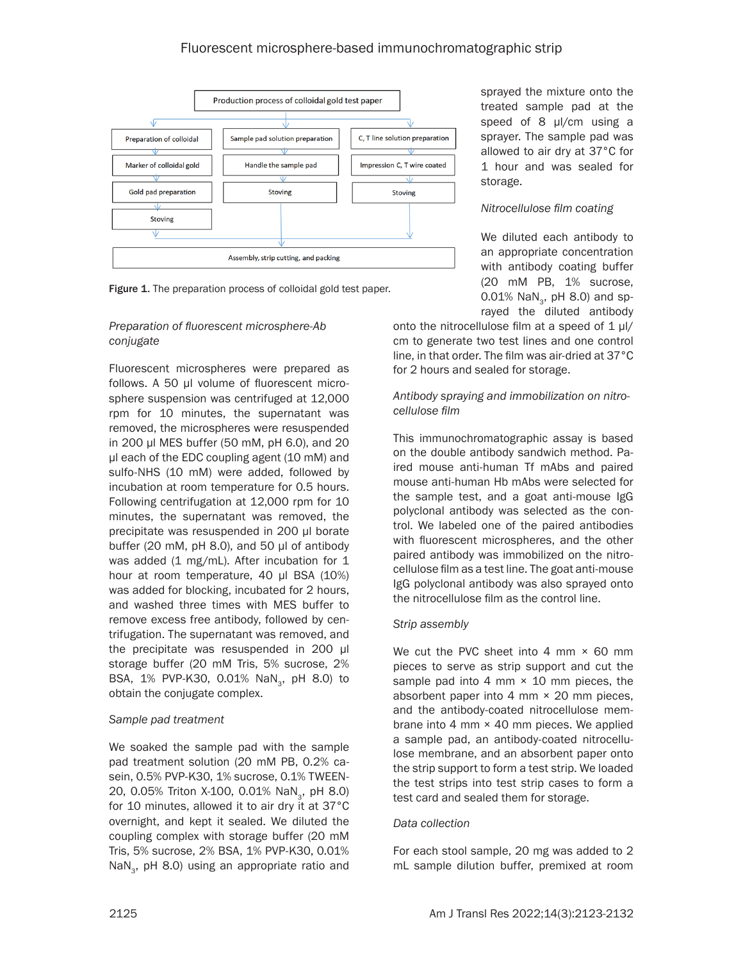# Fluorescent microsphere-based immunochromatographic strip



Figure 1. The preparation process of colloidal gold test paper.

#### *Preparation of fluorescent microsphere-Ab conjugate*

Fluorescent microspheres were prepared as follows. A 50 µl volume of fluorescent microsphere suspension was centrifuged at 12,000 rpm for 10 minutes, the supernatant was removed, the microspheres were resuspended in 200 µl MES buffer (50 mM, pH 6.0), and 20 µl each of the EDC coupling agent (10 mM) and sulfo-NHS (10 mM) were added, followed by incubation at room temperature for 0.5 hours. Following centrifugation at 12,000 rpm for 10 minutes, the supernatant was removed, the precipitate was resuspended in 200 µl borate buffer (20 mM, pH 8.0), and 50 µl of antibody was added (1 mg/mL). After incubation for 1 hour at room temperature, 40 µl BSA (10%) was added for blocking, incubated for 2 hours, and washed three times with MES buffer to remove excess free antibody, followed by centrifugation. The supernatant was removed, and the precipitate was resuspended in 200 µl storage buffer (20 mM Tris, 5% sucrose, 2% BSA, 1% PVP-K30, 0.01% NaN<sub>2</sub>, pH 8.0) to obtain the conjugate complex.

# *Sample pad treatment*

We soaked the sample pad with the sample pad treatment solution (20 mM PB, 0.2% casein, 0.5% PVP-K30, 1% sucrose, 0.1% TWEEN-20, 0.05% Triton X-100, 0.01% NaN<sub>3</sub>, pH 8.0) for 10 minutes, allowed it to air dry it at 37°C overnight, and kept it sealed. We diluted the coupling complex with storage buffer (20 mM Tris, 5% sucrose, 2% BSA, 1% PVP-K30, 0.01% NaN<sub>2</sub>, pH 8.0) using an appropriate ratio and

sprayed the mixture onto the treated sample pad at the speed of 8 µl/cm using a sprayer. The sample pad was allowed to air dry at 37°C for 1 hour and was sealed for storage.

#### *Nitrocellulose film coating*

We diluted each antibody to an appropriate concentration with antibody coating buffer (20 mM PB, 1% sucrose, 0.01%  $NaN_{3}$ , pH 8.0) and sprayed the diluted antibody

onto the nitrocellulose film at a speed of  $1 \mu$ / cm to generate two test lines and one control line, in that order. The film was air-dried at 37°C for 2 hours and sealed for storage.

#### *Antibody spraying and immobilization on nitrocellulose film*

This immunochromatographic assay is based on the double antibody sandwich method. Paired mouse anti-human Tf mAbs and paired mouse anti-human Hb mAbs were selected for the sample test, and a goat anti-mouse IgG polyclonal antibody was selected as the control. We labeled one of the paired antibodies with fluorescent microspheres, and the other paired antibody was immobilized on the nitrocellulose film as a test line. The goat anti-mouse IgG polyclonal antibody was also sprayed onto the nitrocellulose film as the control line.

# *Strip assembly*

We cut the PVC sheet into 4 mm  $\times$  60 mm pieces to serve as strip support and cut the sample pad into 4 mm  $\times$  10 mm pieces, the absorbent paper into 4 mm × 20 mm pieces, and the antibody-coated nitrocellulose membrane into 4 mm  $\times$  40 mm pieces. We applied a sample pad, an antibody-coated nitrocellulose membrane, and an absorbent paper onto the strip support to form a test strip. We loaded the test strips into test strip cases to form a test card and sealed them for storage.

#### *Data collection*

For each stool sample, 20 mg was added to 2 mL sample dilution buffer, premixed at room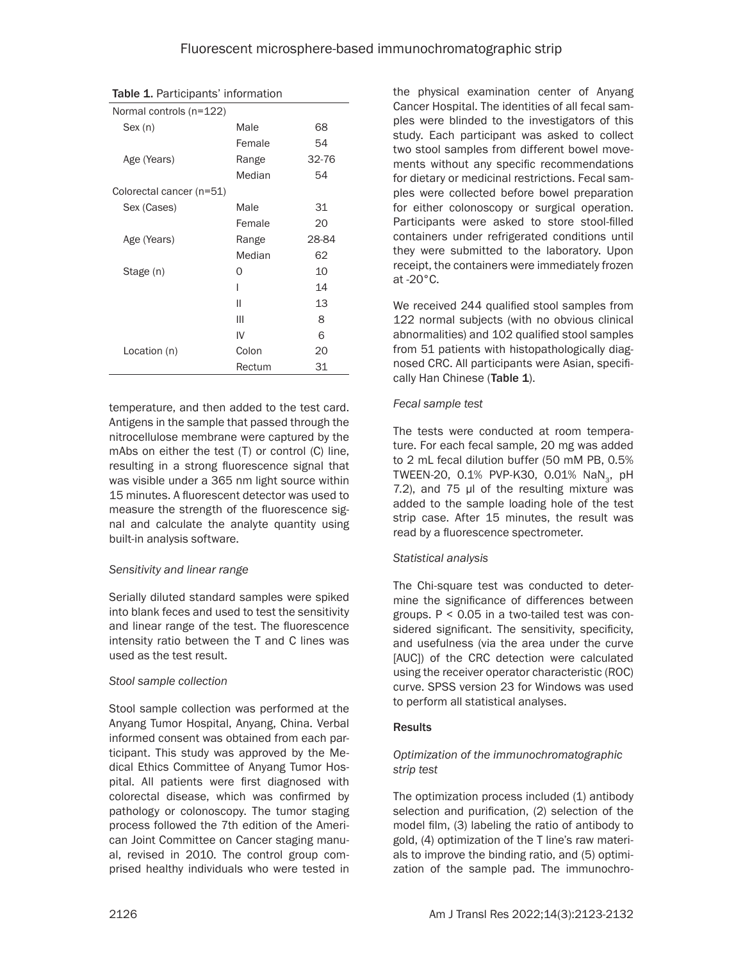| <b>Table 1.</b> Participants' information |       |  |  |
|-------------------------------------------|-------|--|--|
| Normal controls (n=122)                   |       |  |  |
| Male                                      | 68    |  |  |
| Female                                    | 54    |  |  |
| Range                                     | 32-76 |  |  |
| Median                                    | 54    |  |  |
| Colorectal cancer (n=51)                  |       |  |  |
| Male                                      | 31    |  |  |
| Female                                    | 20    |  |  |
| Range                                     | 28-84 |  |  |
| Median                                    | 62    |  |  |
| O                                         | 10    |  |  |
| ı                                         | 14    |  |  |
| П                                         | 13    |  |  |
| Ш                                         | 8     |  |  |
| IV                                        | 6     |  |  |
| Colon                                     | 20    |  |  |
| Rectum                                    | 31    |  |  |
|                                           |       |  |  |

temperature, and then added to the test card. Antigens in the sample that passed through the nitrocellulose membrane were captured by the mAbs on either the test (T) or control (C) line, resulting in a strong fluorescence signal that was visible under a 365 nm light source within 15 minutes. A fluorescent detector was used to measure the strength of the fluorescence signal and calculate the analyte quantity using built-in analysis software.

# *Sensitivity and linear range*

Serially diluted standard samples were spiked into blank feces and used to test the sensitivity and linear range of the test. The fluorescence intensity ratio between the T and C lines was used as the test result.

# *Stool sample collection*

Stool sample collection was performed at the Anyang Tumor Hospital, Anyang, China. Verbal informed consent was obtained from each participant. This study was approved by the Medical Ethics Committee of Anyang Tumor Hospital. All patients were first diagnosed with colorectal disease, which was confirmed by pathology or colonoscopy. The tumor staging process followed the 7th edition of the American Joint Committee on Cancer staging manual, revised in 2010. The control group comprised healthy individuals who were tested in

the physical examination center of Anyang Cancer Hospital. The identities of all fecal samples were blinded to the investigators of this study. Each participant was asked to collect two stool samples from different bowel movements without any specific recommendations for dietary or medicinal restrictions. Fecal samples were collected before bowel preparation for either colonoscopy or surgical operation. Participants were asked to store stool-filled containers under refrigerated conditions until they were submitted to the laboratory. Upon receipt, the containers were immediately frozen at -20°C.

We received 244 qualified stool samples from 122 normal subjects (with no obvious clinical abnormalities) and 102 qualified stool samples from 51 patients with histopathologically diagnosed CRC. All participants were Asian, specifically Han Chinese (Table 1).

# *Fecal sample test*

The tests were conducted at room temperature. For each fecal sample, 20 mg was added to 2 mL fecal dilution buffer (50 mM PB, 0.5% TWEEN-20, 0.1% PVP-K30, 0.01% NaN<sub>2</sub>, pH 7.2), and 75 µl of the resulting mixture was added to the sample loading hole of the test strip case. After 15 minutes, the result was read by a fluorescence spectrometer.

# *Statistical analysis*

The Chi-square test was conducted to determine the significance of differences between groups.  $P < 0.05$  in a two-tailed test was considered significant. The sensitivity, specificity, and usefulness (via the area under the curve [AUC]) of the CRC detection were calculated using the receiver operator characteristic (ROC) curve. SPSS version 23 for Windows was used to perform all statistical analyses.

# Results

# *Optimization of the immunochromatographic strip test*

The optimization process included (1) antibody selection and purification, (2) selection of the model film, (3) labeling the ratio of antibody to gold, (4) optimization of the T line's raw materials to improve the binding ratio, and (5) optimization of the sample pad. The immunochro-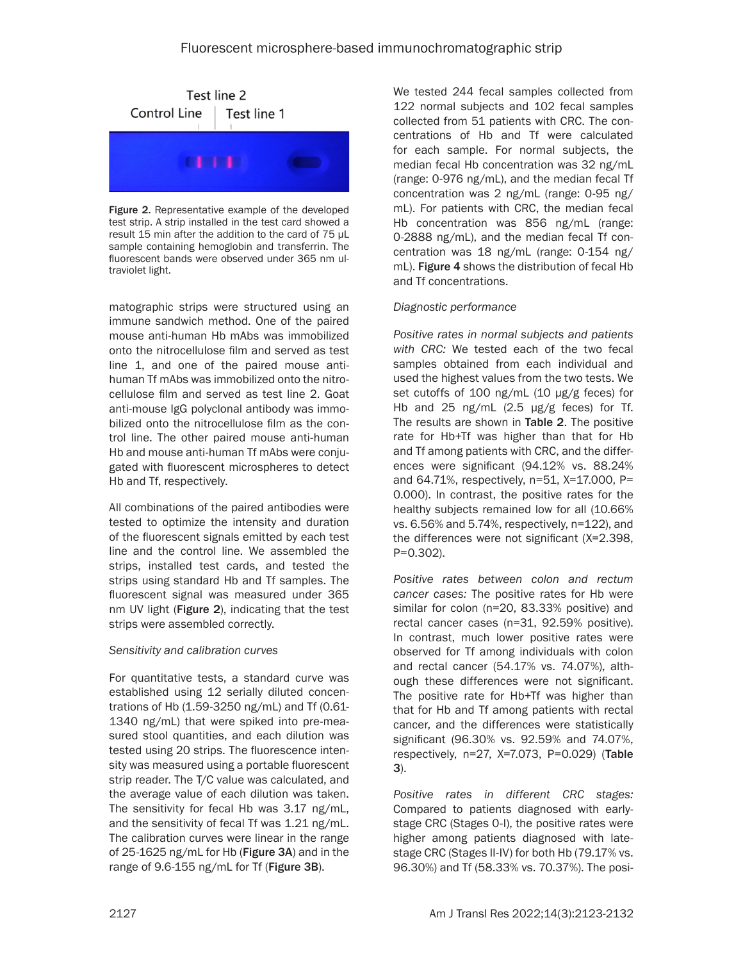

Figure 2. Representative example of the developed test strip. A strip installed in the test card showed a result 15 min after the addition to the card of 75 µL sample containing hemoglobin and transferrin. The fluorescent bands were observed under 365 nm ultraviolet light.

matographic strips were structured using an immune sandwich method. One of the paired mouse anti-human Hb mAbs was immobilized onto the nitrocellulose film and served as test line 1, and one of the paired mouse antihuman Tf mAbs was immobilized onto the nitrocellulose film and served as test line 2. Goat anti-mouse IgG polyclonal antibody was immobilized onto the nitrocellulose film as the control line. The other paired mouse anti-human Hb and mouse anti-human Tf mAbs were conjugated with fluorescent microspheres to detect Hb and Tf, respectively.

All combinations of the paired antibodies were tested to optimize the intensity and duration of the fluorescent signals emitted by each test line and the control line. We assembled the strips, installed test cards, and tested the strips using standard Hb and Tf samples. The fluorescent signal was measured under 365 nm UV light (Figure 2), indicating that the test strips were assembled correctly.

# *Sensitivity and calibration curves*

For quantitative tests, a standard curve was established using 12 serially diluted concentrations of Hb (1.59-3250 ng/mL) and Tf (0.61- 1340 ng/mL) that were spiked into pre-measured stool quantities, and each dilution was tested using 20 strips. The fluorescence intensity was measured using a portable fluorescent strip reader. The T/C value was calculated, and the average value of each dilution was taken. The sensitivity for fecal Hb was 3.17 ng/mL, and the sensitivity of fecal Tf was 1.21 ng/mL. The calibration curves were linear in the range of 25-1625 ng/mL for Hb (Figure 3A) and in the range of 9.6-155 ng/mL for Tf (Figure 3B).

We tested 244 fecal samples collected from 122 normal subjects and 102 fecal samples collected from 51 patients with CRC. The concentrations of Hb and Tf were calculated for each sample. For normal subjects, the median fecal Hb concentration was 32 ng/mL (range: 0-976 ng/mL), and the median fecal Tf concentration was 2 ng/mL (range: 0-95 ng/ mL). For patients with CRC, the median fecal Hb concentration was 856 ng/mL (range: 0-2888 ng/mL), and the median fecal Tf concentration was 18 ng/mL (range: 0-154 ng/ mL). Figure 4 shows the distribution of fecal Hb and Tf concentrations.

# *Diagnostic performance*

*Positive rates in normal subjects and patients with CRC:* We tested each of the two fecal samples obtained from each individual and used the highest values from the two tests. We set cutoffs of 100 ng/mL (10 µg/g feces) for Hb and 25 ng/mL  $(2.5 \mu g/g$  feces) for Tf. The results are shown in Table 2. The positive rate for Hb+Tf was higher than that for Hb and Tf among patients with CRC, and the differences were significant (94.12% vs. 88.24% and 64.71%, respectively, n=51, Χ=17.000, P= 0.000). In contrast, the positive rates for the healthy subjects remained low for all (10.66% vs. 6.56% and 5.74%, respectively, n=122), and the differences were not significant (Χ=2.398, P=0.302).

*Positive rates between colon and rectum cancer cases:* The positive rates for Hb were similar for colon (n=20, 83.33% positive) and rectal cancer cases (n=31, 92.59% positive). In contrast, much lower positive rates were observed for Tf among individuals with colon and rectal cancer (54.17% vs. 74.07%), although these differences were not significant. The positive rate for Hb+Tf was higher than that for Hb and Tf among patients with rectal cancer, and the differences were statistically significant (96.30% vs. 92.59% and 74.07%, respectively, n=27, Χ=7.073, P=0.029) (Table 3).

*Positive rates in different CRC stages:*  Compared to patients diagnosed with earlystage CRC (Stages 0-I), the positive rates were higher among patients diagnosed with latestage CRC (Stages II-IV) for both Hb (79.17% vs. 96.30%) and Tf (58.33% vs. 70.37%). The posi-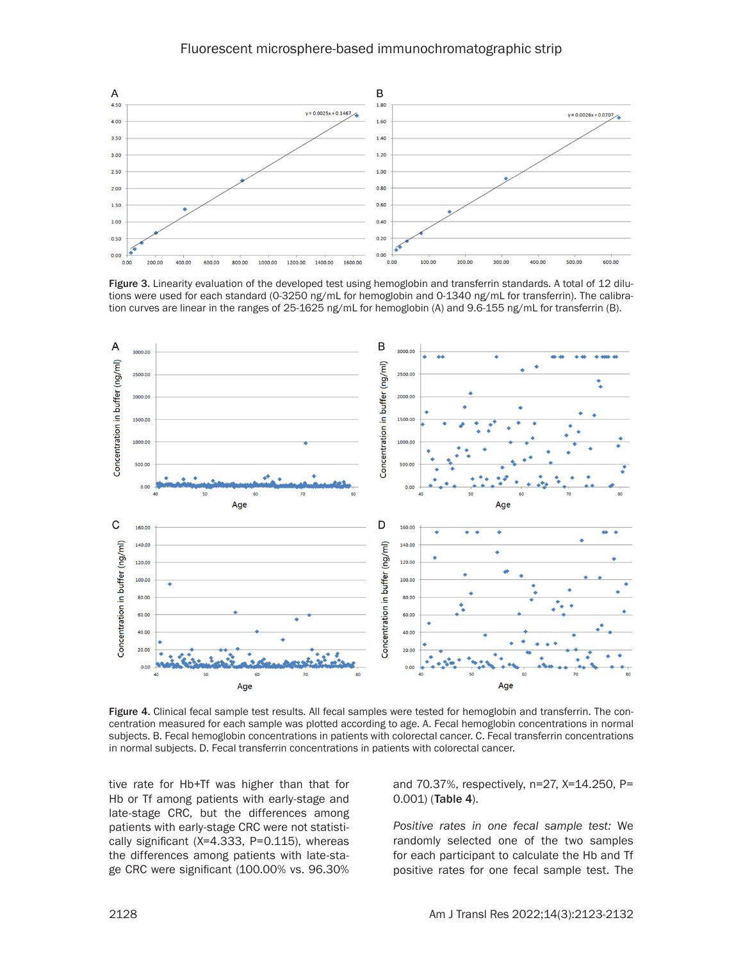

Figure 3. Linearity evaluation of the developed test using hemoglobin and transferrin standards. A total of 12 dilutions were used for each standard (0-3250 ng/mL for hemoglobin and 0-1340 ng/mL for transferrin). The calibration curves are linear in the ranges of 25-1625 ng/mL for hemoglobin (A) and 9.6-155 ng/mL for transferrin (B).



Figure 4. Clinical fecal sample test results. All fecal samples were tested for hemoglobin and transferrin. The concentration measured for each sample was plotted according to age. A. Fecal hemoglobin concentrations in normal subjects. B. Fecal hemoglobin concentrations in patients with colorectal cancer. C. Fecal transferrin concentrations in normal subjects. D. Fecal transferrin concentrations in patients with colorectal cancer.

tive rate for Hb+Tf was higher than that for Hb or Tf among patients with early-stage and late-stage CRC, but the differences among patients with early-stage CRC were not statistically significant (Χ=4.333, P=0.115), whereas the differences among patients with late-stage CRC were significant (100.00% vs. 96.30% and 70.37%, respectively, n=27, Χ=14.250, P= 0.001) (Table 4).

*Positive rates in one fecal sample test:* We randomly selected one of the two samples for each participant to calculate the Hb and Tf positive rates for one fecal sample test. The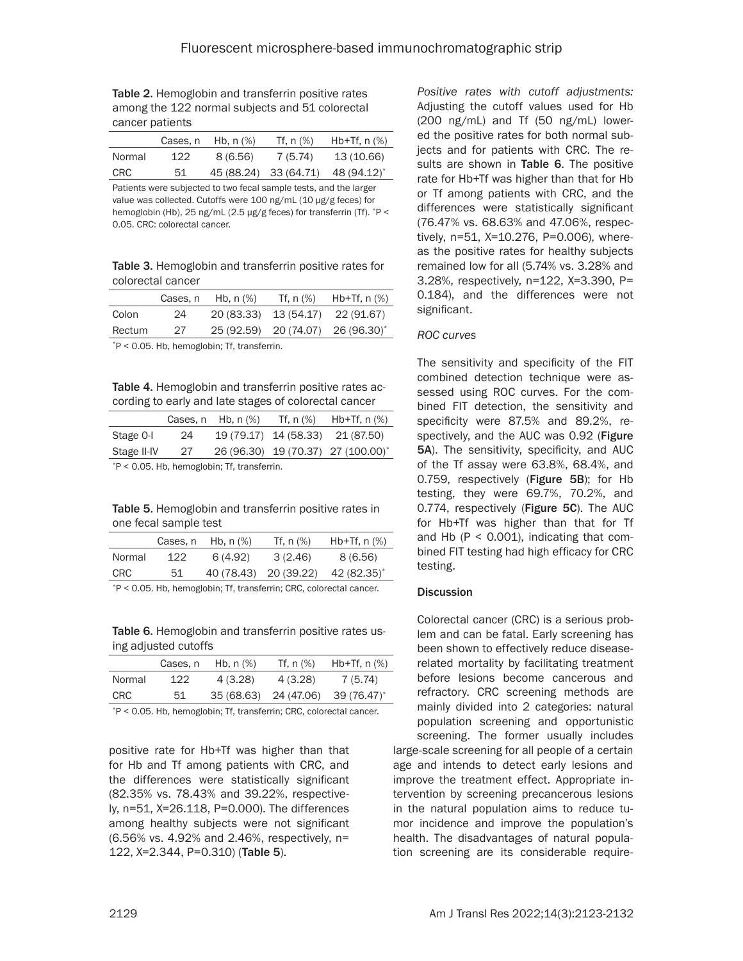Table 2. Hemoglobin and transferrin positive rates among the 122 normal subjects and 51 colorectal cancer patients

|        | Cases, n | Hb, $n$ $%$ | Tf. n (%) | Hb+Tf, $n$ $%$                                |
|--------|----------|-------------|-----------|-----------------------------------------------|
| Normal | 122.     | 8(6,56)     | 7 (5.74)  | 13 (10.66)                                    |
| CRC    | 51       |             |           | 45 (88.24) 33 (64.71) 48 (94.12) <sup>*</sup> |

Patients were subjected to two fecal sample tests, and the larger value was collected. Cutoffs were 100 ng/mL (10 µg/g feces) for hemoglobin (Hb), 25 ng/mL (2.5 µg/g feces) for transferrin (Tf). \*P < 0.05. CRC: colorectal cancer.

Table 3. Hemoglobin and transferrin positive rates for colorectal cancer

|                                                                                  | Cases, n | Hb, n (%) | Tf, $n$ $%$ | Hb+Tf, $n$ $%$                    |
|----------------------------------------------------------------------------------|----------|-----------|-------------|-----------------------------------|
| Colon                                                                            | 24       |           |             | 20 (83.33) 13 (54.17) 22 (91.67)  |
| Rectum                                                                           | 27       |           |             | 25 (92.59) 20 (74.07) 26 (96.30)* |
| $*D \times Q$ Q <sub>5</sub> U <sub>b</sub> bomoglobin <sup>,</sup> If transform |          |           |             |                                   |

`P < 0.05. Hb, hemoglobin; Tf, transferrin.

Table 4. Hemoglobin and transferrin positive rates according to early and late stages of colorectal cancer

|                                                |    | Cases, $n$ Hb, $n$ $%$ | Tf. n (%) | $Hb+Tf, n(\%)$                     |
|------------------------------------------------|----|------------------------|-----------|------------------------------------|
| Stage 0-I                                      | 24 |                        |           | 19 (79.17) 14 (58.33) 21 (87.50)   |
| Stage II-IV                                    | 27 |                        |           | 26 (96.30) 19 (70.37) 27 (100.00)* |
| $*P < 0.05$ . Hb, hemoglobin; Tf, transferrin. |    |                        |           |                                    |

Table 5. Hemoglobin and transferrin positive rates in

|                                                                       | Cases, n | Hb, $n$ $%$ | Tf, $n$ $%$           | $Hb+Tf$ , n $(\%)$ |
|-----------------------------------------------------------------------|----------|-------------|-----------------------|--------------------|
| Normal                                                                | 122      | 6(4.92)     | 3(2.46)               | 8(6.56)            |
| <b>CRC</b>                                                            | 51       |             | 40 (78.43) 20 (39.22) | 42 (82.35)*        |
| $P < 0.05$ . Hb, hemoglobin; Tf, transferrin; CRC, colorectal cancer. |          |             |                       |                    |

Table 6. Hemoglobin and transferrin positive rates using adjusted cutoffs

|        | Cases, n | Hb, $n$ $%$           | Tf, $n$ $%$ | Hb+Tf, $n$ $%$ |
|--------|----------|-----------------------|-------------|----------------|
| Normal | 122      | 4 (3.28)              | 4(3.28)     | 7 (5.74)       |
| CRC    | 51       | 35 (68.63) 24 (47.06) |             | 39 (76.47)*    |
|        |          |                       |             |                |

\*P < 0.05. Hb, hemoglobin; Tf, transferrin; CRC, colorectal cancer.

positive rate for Hb+Tf was higher than that for Hb and Tf among patients with CRC, and the differences were statistically significant (82.35% vs. 78.43% and 39.22%, respectively, n=51, Χ=26.118, P=0.000). The differences among healthy subjects were not significant (6.56% vs. 4.92% and 2.46%, respectively, n= 122, Χ=2.344, P=0.310) (Table 5).

*Positive rates with cutoff adjustments:*  Adjusting the cutoff values used for Hb (200 ng/mL) and Tf (50 ng/mL) lowered the positive rates for both normal subjects and for patients with CRC. The results are shown in Table 6. The positive rate for Hb+Tf was higher than that for Hb or Tf among patients with CRC, and the differences were statistically significant (76.47% vs. 68.63% and 47.06%, respectively, n=51, Χ=10.276, P=0.006), whereas the positive rates for healthy subjects remained low for all (5.74% vs. 3.28% and 3.28%, respectively, n=122, Χ=3.390, P= 0.184), and the differences were not significant.

#### *ROC curves*

The sensitivity and specificity of the FIT combined detection technique were assessed using ROC curves. For the combined FIT detection, the sensitivity and specificity were 87.5% and 89.2%, respectively, and the AUC was 0.92 (Figure 5A). The sensitivity, specificity, and AUC of the Tf assay were 63.8%, 68.4%, and 0.759, respectively (Figure 5B); for Hb testing, they were 69.7%, 70.2%, and 0.774, respectively (Figure 5C). The AUC for Hb+Tf was higher than that for Tf and Hb ( $P < 0.001$ ), indicating that combined FIT testing had high efficacy for CRC testing.

#### **Discussion**

large-scale screening for all people of a certain age and intends to detect early lesions and improve the treatment effect. Appropriate intervention by screening precancerous lesions in the natural population aims to reduce tumor incidence and improve the population's health. The disadvantages of natural population screening are its considerable require-Colorectal cancer (CRC) is a serious problem and can be fatal. Early screening has been shown to effectively reduce diseaserelated mortality by facilitating treatment before lesions become cancerous and refractory. CRC screening methods are mainly divided into 2 categories: natural population screening and opportunistic screening. The former usually includes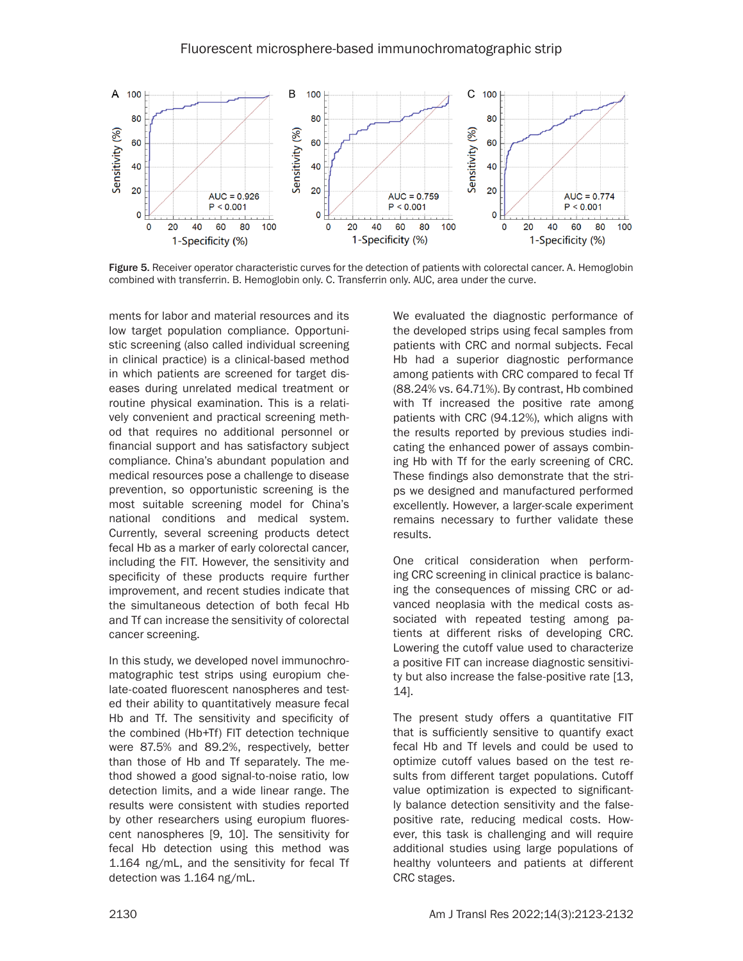

Figure 5. Receiver operator characteristic curves for the detection of patients with colorectal cancer. A. Hemoglobin combined with transferrin. B. Hemoglobin only. C. Transferrin only. AUC, area under the curve.

ments for labor and material resources and its low target population compliance. Opportunistic screening (also called individual screening in clinical practice) is a clinical-based method in which patients are screened for target diseases during unrelated medical treatment or routine physical examination. This is a relatively convenient and practical screening method that requires no additional personnel or financial support and has satisfactory subject compliance. China's abundant population and medical resources pose a challenge to disease prevention, so opportunistic screening is the most suitable screening model for China's national conditions and medical system. Currently, several screening products detect fecal Hb as a marker of early colorectal cancer, including the FIT. However, the sensitivity and specificity of these products require further improvement, and recent studies indicate that the simultaneous detection of both fecal Hb and Tf can increase the sensitivity of colorectal cancer screening.

In this study, we developed novel immunochromatographic test strips using europium chelate-coated fluorescent nanospheres and tested their ability to quantitatively measure fecal Hb and Tf. The sensitivity and specificity of the combined (Hb+Tf) FIT detection technique were 87.5% and 89.2%, respectively, better than those of Hb and Tf separately. The method showed a good signal-to-noise ratio, low detection limits, and a wide linear range. The results were consistent with studies reported by other researchers using europium fluorescent nanospheres [9, 10]. The sensitivity for fecal Hb detection using this method was 1.164 ng/mL, and the sensitivity for fecal Tf detection was 1.164 ng/mL.

We evaluated the diagnostic performance of the developed strips using fecal samples from patients with CRC and normal subjects. Fecal Hb had a superior diagnostic performance among patients with CRC compared to fecal Tf (88.24% vs. 64.71%). By contrast, Hb combined with Tf increased the positive rate among patients with CRC (94.12%), which aligns with the results reported by previous studies indicating the enhanced power of assays combining Hb with Tf for the early screening of CRC. These findings also demonstrate that the strips we designed and manufactured performed excellently. However, a larger-scale experiment remains necessary to further validate these results.

One critical consideration when performing CRC screening in clinical practice is balancing the consequences of missing CRC or advanced neoplasia with the medical costs associated with repeated testing among patients at different risks of developing CRC. Lowering the cutoff value used to characterize a positive FIT can increase diagnostic sensitivity but also increase the false-positive rate [13, 14].

The present study offers a quantitative FIT that is sufficiently sensitive to quantify exact fecal Hb and Tf levels and could be used to optimize cutoff values based on the test results from different target populations. Cutoff value optimization is expected to significantly balance detection sensitivity and the falsepositive rate, reducing medical costs. However, this task is challenging and will require additional studies using large populations of healthy volunteers and patients at different CRC stages.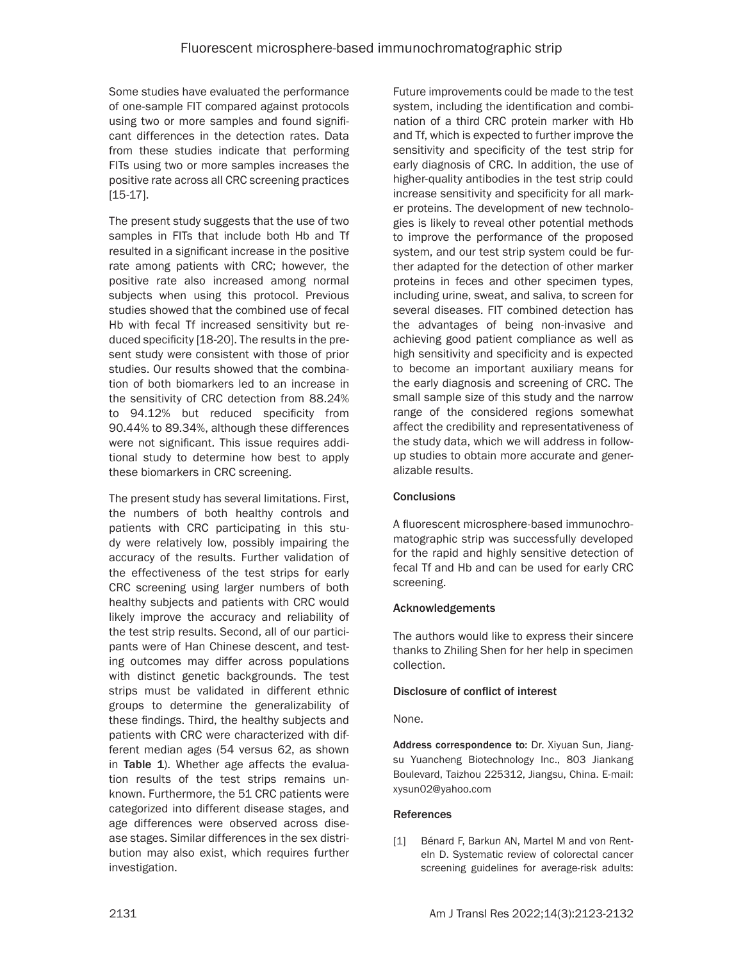Some studies have evaluated the performance of one-sample FIT compared against protocols using two or more samples and found significant differences in the detection rates. Data from these studies indicate that performing FITs using two or more samples increases the positive rate across all CRC screening practices [15-17].

The present study suggests that the use of two samples in FITs that include both Hb and Tf resulted in a significant increase in the positive rate among patients with CRC; however, the positive rate also increased among normal subjects when using this protocol. Previous studies showed that the combined use of fecal Hb with fecal Tf increased sensitivity but reduced specificity [18-20]. The results in the present study were consistent with those of prior studies. Our results showed that the combination of both biomarkers led to an increase in the sensitivity of CRC detection from 88.24% to 94.12% but reduced specificity from 90.44% to 89.34%, although these differences were not significant. This issue requires additional study to determine how best to apply these biomarkers in CRC screening.

The present study has several limitations. First, the numbers of both healthy controls and patients with CRC participating in this study were relatively low, possibly impairing the accuracy of the results. Further validation of the effectiveness of the test strips for early CRC screening using larger numbers of both healthy subjects and patients with CRC would likely improve the accuracy and reliability of the test strip results. Second, all of our participants were of Han Chinese descent, and testing outcomes may differ across populations with distinct genetic backgrounds. The test strips must be validated in different ethnic groups to determine the generalizability of these findings. Third, the healthy subjects and patients with CRC were characterized with different median ages (54 versus 62, as shown in Table 1). Whether age affects the evaluation results of the test strips remains unknown. Furthermore, the 51 CRC patients were categorized into different disease stages, and age differences were observed across disease stages. Similar differences in the sex distribution may also exist, which requires further investigation.

Future improvements could be made to the test system, including the identification and combination of a third CRC protein marker with Hb and Tf, which is expected to further improve the sensitivity and specificity of the test strip for early diagnosis of CRC. In addition, the use of higher-quality antibodies in the test strip could increase sensitivity and specificity for all marker proteins. The development of new technologies is likely to reveal other potential methods to improve the performance of the proposed system, and our test strip system could be further adapted for the detection of other marker proteins in feces and other specimen types, including urine, sweat, and saliva, to screen for several diseases. FIT combined detection has the advantages of being non-invasive and achieving good patient compliance as well as high sensitivity and specificity and is expected to become an important auxiliary means for the early diagnosis and screening of CRC. The small sample size of this study and the narrow range of the considered regions somewhat affect the credibility and representativeness of the study data, which we will address in followup studies to obtain more accurate and generalizable results.

# **Conclusions**

A fluorescent microsphere-based immunochromatographic strip was successfully developed for the rapid and highly sensitive detection of fecal Tf and Hb and can be used for early CRC screening.

# Acknowledgements

The authors would like to express their sincere thanks to Zhiling Shen for her help in specimen collection.

# Disclosure of conflict of interest

# None.

Address correspondence to: Dr. Xiyuan Sun, Jiangsu Yuancheng Biotechnology Inc., 803 Jiankang Boulevard, Taizhou 225312, Jiangsu, China. E-mail: [xysun02@yahoo.com](mailto:xysun02@yahoo.com)

# **References**

[1] Bénard F, Barkun AN, Martel M and von Renteln D. Systematic review of colorectal cancer screening guidelines for average-risk adults: